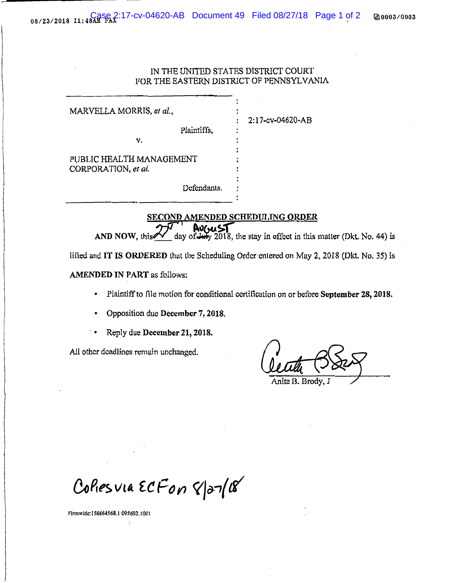## IN THE UNITED STATES DISTRICT COURT FOR THE EASTERN DISTRICT OF PENNSYLVANIA

2:17-cv-04620-AB

MARVELLA MORRIS, *et ul.,*  Plaintiffs, v. PUBLIC HEALTH MANAGEMENT CORPORATION, *et al.*  Defendants.

SECOND AMENDED SCHEDULING ORDER<br>27 August - August 1965 AND NOW, this  $\frac{2\sqrt{1-\frac{1}{2}}}{\frac{1}{2}}$  day of  $\frac{1}{2018}$ , the stay in effect in this matter (Dkt. No. 44) is

lifted and IT IS ORDERED that the Scheduling Order entered on May 2, 2018 (Dkt. No. 35) is

AMENDED IN PART as follows:

- Plaintiff to file motion for conditional certification on or before September 28, 2018.
- Opposition due December 7, 2018.
- Reply due December 21, 2018.

All other deadlines remain unchanged.

Anita B. Brody

Collesvia ECFON 8/27/18

~·irmwidc: I S6664568.1 09S692.1 001

 $\frac{1}{2}$